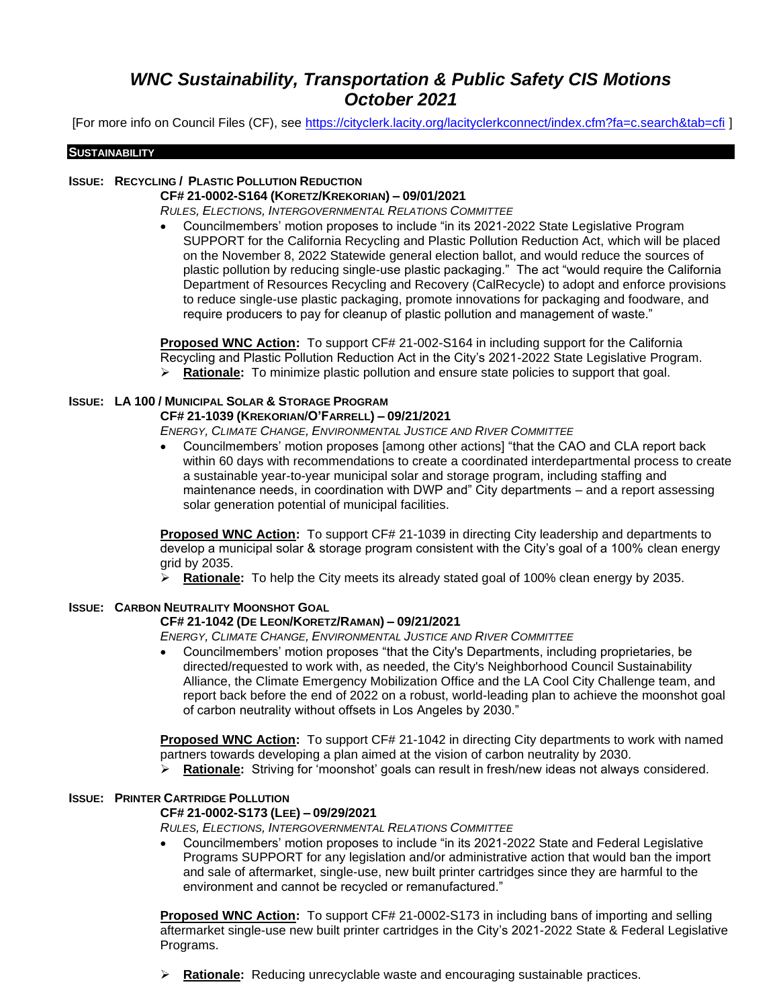# *WNC Sustainability, Transportation & Public Safety CIS Motions October 2021*

[For more info on Council Files (CF), see<https://cityclerk.lacity.org/lacityclerkconnect/index.cfm?fa=c.search&tab=cfi> ]

#### **SUSTAINABILITY**

#### **ISSUE: RECYCLING / PLASTIC POLLUTION REDUCTION**

## **CF# 21-0002-S164 (KORETZ/KREKORIAN) – 09/01/2021**

*RULES, ELECTIONS, INTERGOVERNMENTAL RELATIONS COMMITTEE*

• Councilmembers' motion proposes to include "in its 2021-2022 State Legislative Program SUPPORT for the California Recycling and Plastic Pollution Reduction Act, which will be placed on the November 8, 2022 Statewide general election ballot, and would reduce the sources of plastic pollution by reducing single-use plastic packaging." The act "would require the California Department of Resources Recycling and Recovery (CalRecycle) to adopt and enforce provisions to reduce single-use plastic packaging, promote innovations for packaging and foodware, and require producers to pay for cleanup of plastic pollution and management of waste."

**Proposed WNC Action:** To support CF# 21-002-S164 in including support for the California Recycling and Plastic Pollution Reduction Act in the City's 2021-2022 State Legislative Program. ➢ **Rationale:** To minimize plastic pollution and ensure state policies to support that goal.

## **ISSUE: LA 100 / MUNICIPAL SOLAR & STORAGE PROGRAM**

#### **CF# 21-1039 (KREKORIAN/O'FARRELL) – 09/21/2021**

*ENERGY, CLIMATE CHANGE, ENVIRONMENTAL JUSTICE AND RIVER COMMITTEE*

• Councilmembers' motion proposes [among other actions] "that the CAO and CLA report back within 60 days with recommendations to create a coordinated interdepartmental process to create a sustainable year-to-year municipal solar and storage program, including staffing and maintenance needs, in coordination with DWP and" City departments – and a report assessing solar generation potential of municipal facilities.

**Proposed WNC Action:** To support CF# 21-1039 in directing City leadership and departments to develop a municipal solar & storage program consistent with the City's goal of a 100% clean energy grid by 2035.

➢ **Rationale:** To help the City meets its already stated goal of 100% clean energy by 2035.

## **ISSUE: CARBON NEUTRALITY MOONSHOT GOAL**

## **CF# 21-1042 (DE LEON/KORETZ/RAMAN) – 09/21/2021**

*ENERGY, CLIMATE CHANGE, ENVIRONMENTAL JUSTICE AND RIVER COMMITTEE*

• Councilmembers' motion proposes "that the City's Departments, including proprietaries, be directed/requested to work with, as needed, the City's Neighborhood Council Sustainability Alliance, the Climate Emergency Mobilization Office and the LA Cool City Challenge team, and report back before the end of 2022 on a robust, world-leading plan to achieve the moonshot goal of carbon neutrality without offsets in Los Angeles by 2030."

**Proposed WNC Action:** To support CF# 21-1042 in directing City departments to work with named partners towards developing a plan aimed at the vision of carbon neutrality by 2030.

➢ **Rationale:** Striving for 'moonshot' goals can result in fresh/new ideas not always considered.

## **ISSUE: PRINTER CARTRIDGE POLLUTION**

## **CF# 21-0002-S173 (LEE) – 09/29/2021**

*RULES, ELECTIONS, INTERGOVERNMENTAL RELATIONS COMMITTEE*

• Councilmembers' motion proposes to include "in its 2021-2022 State and Federal Legislative Programs SUPPORT for any legislation and/or administrative action that would ban the import and sale of aftermarket, single-use, new built printer cartridges since they are harmful to the environment and cannot be recycled or remanufactured."

**Proposed WNC Action:** To support CF# 21-0002-S173 in including bans of importing and selling aftermarket single-use new built printer cartridges in the City's 2021-2022 State & Federal Legislative Programs.

➢ **Rationale:** Reducing unrecyclable waste and encouraging sustainable practices.